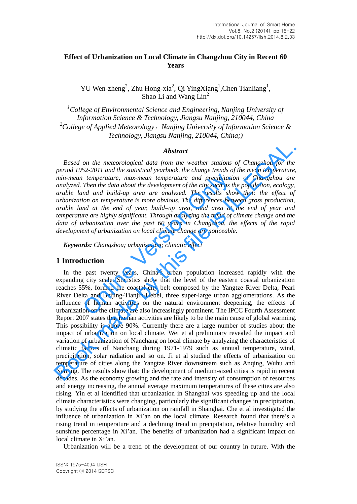# **Effect of Urbanization on Local Climate in Changzhou City in Recent 60 Years**

YU Wen-zheng<sup>2</sup>, Zhu Hong-xia<sup>2</sup>, Qi YingXiang<sup>1</sup>,Chen Tianliang<sup>1</sup>, Shao Li and Wang Lin<sup>2</sup>

*<sup>1</sup>College of Environmental Science and Engineering, Nanjing University of Information Science & Technology, Jiangsu Nanjing, 210044, China <sup>2</sup>College of Applied Meteorology*,*Nanjing University of Information Science & Technology, Jiangsu Nanjing, 210044, China;)*

#### *Abstract*

*Based on the meteorological data from the weather stations of Changzhou for the period 1952-2011 and the statistical yearbook, the change trends of the mean temperature, min-mean temperature, max-mean temperature and precipitation of Changzhou are analyzed. Then the data about the development of the city such as the population, ecology, arable land and build-up area are analyzed. The results show that: the effect of urbanization on temperature is more obvious. The differences between gross production, arable land at the end of year, build–up area, road area at the end of year and temperature are highly significant. Through analyzing the trend of climate change and the data of urbanization over the past 60 years in Changzhou, the effects of the rapid development of urbanization on local climate change are noticeable. Examplerature, max-mean temperature and precipitation*<br>Then the data about the development of the city such as the<br>nd and build-up area are analyzed. The results show<br>ion on temperature is more obvious. The differences be

*Keywords: Changzhou; urbanization; climatic effect*

### **1 Introduction**

In the past twenty years, China's urban population increased rapidly with the expanding city scale. Statistics show that the level of the eastern coastal urbanization reaches 55%, formed the coastal city belt composed by the Yangtze River Delta, Pearl River Delta and Beijing-Tianjin-Hebei, three super-large urban agglomerations. As the influence of human activities on the natural environment deepening, the effects of urbanization on the climate are also increasingly prominent. The IPCC Fourth Assessment Report 2007 states that human activities are likely to be the main cause of global warming. This possibility is above 90%. Currently there are a large number of studies about the impact of urbanization on local climate. Wei et al preliminary revealed the impact and variation of urbanization of Nanchang on local climate by analyzing the characteristics of climatic factors of Nanchang during 1971-1979 such as annual temperature, wind, precipitation, solar radiation and so on. Ji et al studied the effects of urbanization on temperature of cities along the Yangtze River downstream such as Anqing, Wuhu and Nanjing. The results show that: the development of medium-sized cities is rapid in recent decades. As the economy growing and the rate and intensity of consumption of resources and energy increasing, the annual average maximum temperatures of these cities are also rising. Yin et al identified that urbanization in Shanghai was speeding up and the local climate characteristics were changing, particularly the significant changes in precipitation, by studying the effects of urbanization on rainfall in Shanghai. Che et al investigated the influence of urbanization in Xi'an on the local climate. Research found that there's a rising trend in temperature and a declining trend in precipitation, relative humidity and sunshine percentage in Xi'an. The benefits of urbanization had a significant impact on local climate in Xi'an. **Abstract**<br> **Abstract**<br> **Book meanual comparisons** and the mean temperature and interactions of change tends of the mean temperature, max-mean temperature and precipitation of Changshou are mini-mean temperature, max-mean

Urbanization will be a trend of the development of our country in future. With the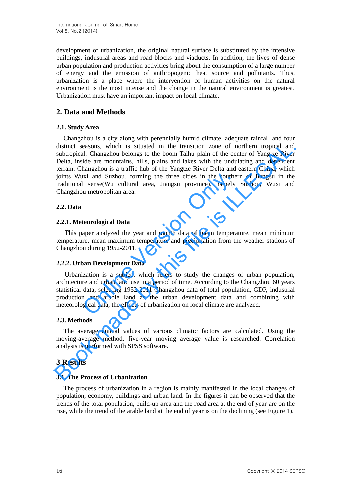development of urbanization, the original natural surface is substituted by the intensive buildings, industrial areas and road blocks and viaducts. In addition, the lives of dense urban population and production activities bring about the consumption of a large number of energy and the emission of anthropogenic heat source and pollutants. Thus, urbanization is a place where the intervention of human activities on the natural environment is the most intense and the change in the natural environment is greatest. Urbanization must have an important impact on local climate.

# **2. Data and Methods**

## **2.1. Study Area**

Changzhou is a city along with perennially humid climate, adequate rainfall and four distinct seasons, which is situated in the transition zone of northern tropical and subtropical. Changzhou belongs to the boom Taihu plain of the center of Yangtze River Delta, inside are mountains, hills, plains and lakes with the undulating and dependent terrain. Changzhou is a traffic hub of the Yangtze River Delta and eastern China, which joints Wuxi and Suzhou, forming the three cities in the southern of Jiangsu in the traditional sense(Wu cultural area, Jiangsu province), namely Suzhou, Wuxi and Changzhou metropolitan area. distinct seasons, which is situated in the transition zone of northern tropical and subtropical. Changzhou belongs to the boom Tainhu plain of the center of Yangtze River and Dela, inside are mountains, hills, plains and l

## **2.2. Data**

## **2.2.1. Meteorological Data**

This paper analyzed the year and month data of mean temperature, mean minimum temperature, mean maximum temperature and precipitation from the weather stations of Changzhou during 1952-2011.

### **2.2.2. Urban Development Data**

Urbanization is a subject which refers to study the changes of urban population, architecture and urban land use in a period of time. According to the Changzhou 60 years statistical data, selecting 1952-2011 Changzhou data of total population, GDP, industrial production and arable land as the urban development data and combining with meteorological data, the effects of urbanization on local climate are analyzed. ixi and Suzhou, forming the three cities in the souther<br>
I sense(Wu cultural area, Jiangsu province), namely<br>
un metropolitan area.<br> **teorological Data**<br>
aper analyzed the year and month data of mean tempera<br>
re, mean maxi

# **2.3. Methods**

The average annual values of various climatic factors are calculated. Using the moving-average method, five-year moving average value is researched. Correlation analysis is performed with SPSS software.

# **3 Results**

### **3.1. The Process of Urbanization**

The process of urbanization in a region is mainly manifested in the local changes of population, economy, buildings and urban land. In the figures it can be observed that the trends of the total population, build-up area and the road area at the end of year are on the rise, while the trend of the arable land at the end of year is on the declining (see Figure 1).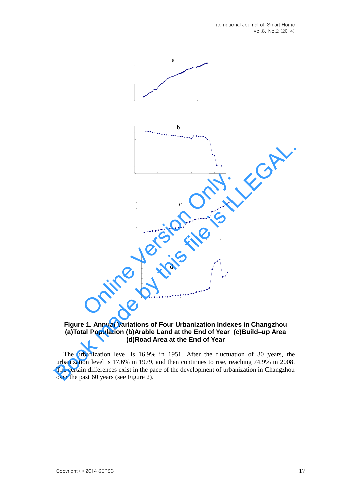

## **Figure 1. Annual Variations of Four Urbanization Indexes in Changzhou (a)Total Population (b)Arable Land at the End of Year (c)Build–up Area (d)Road Area at the End of Year**

The urbanization level is 16.9% in 1951. After the fluctuation of 30 years, the urbanization level is 17.6% in 1979, and then continues to rise, reaching 74.9% in 2008. The certain differences exist in the pace of the development of urbanization in Changzhou over the past 60 years (see Figure 2).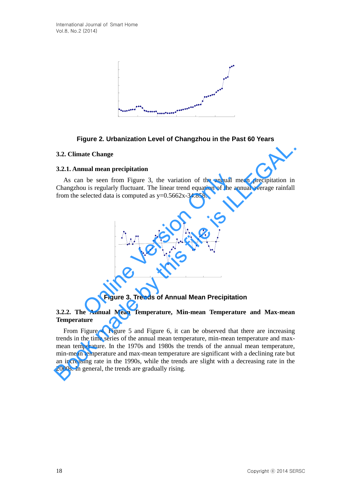

## **Figure 2. Urbanization Level of Changzhou in the Past 60 Years**

#### **3.2. Climate Change**

#### **3.2.1. Annual mean precipitation**

As can be seen from Figure 3, the variation of the annual mean precipitation in Changzhou is regularly fluctuant. The linear trend equation of the annual average rainfall from the selected data is computed as  $y=0.5662x-34.858$ .



### **Figure 3. Trends of Annual Mean Precipitation**

#### **3.2.2. The Annual Mean Temperature, Min-mean Temperature and Max-mean Temperature**

From Figure 4, Figure 5 and Figure 6, it can be observed that there are increasing trends in the time series of the annual mean temperature, min-mean temperature and maxmean temperature. In the 1970s and 1980s the trends of the annual mean temperature, min-mean temperature and max-mean temperature are significant with a declining rate but an increasing rate in the 1990s, while the trends are slight with a decreasing rate in the 2000s. In general, the trends are gradually rising. **3.2. Climate Change**<br> **As can be seen from Figure 3, the variation of the annual mean precipitation** in As can be seen from Figure 3, the variation of the annual average rainfall from the selected data is computed as  $y=$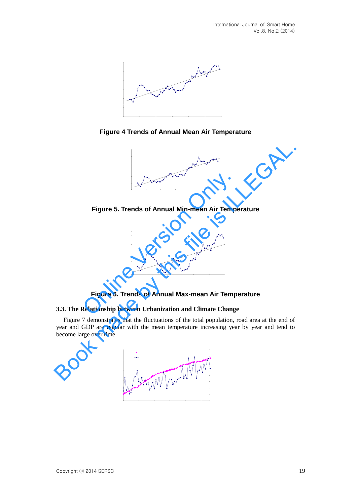

**Figure 4 Trends of Annual Mean Air Temperature**



**Figure 5. Trends of Annual Min-mean Air Temperature**



**Figure 6. Trends of Annual Max-mean Air Temperature**

# **3.3. The Relationship between Urbanization and Climate Change**

Figure 7 demonstrates that the fluctuations of the total population, road area at the end of year and GDP are regular with the mean temperature increasing year by year and tend to become large over time.

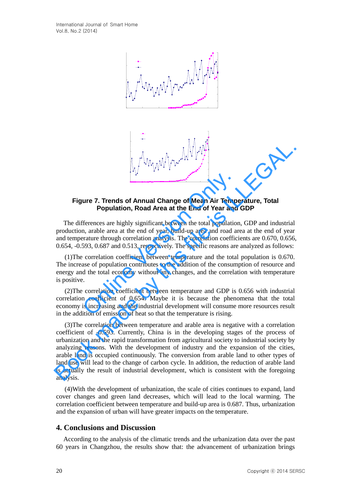

## **Figure 7. Trends of Annual Change of Mean Air Temperature, Total Population, Road Area at the End of Year and GDP**

The differences are highly significant between the total population, GDP and industrial production, arable area at the end of year, build-up area and road area at the end of year and temperature through correlation analysis. The correlation coefficients are 0.670, 0.656, 0.654, -0.593, 0.687 and 0.513, respectively. The specific reasons are analyzed as follows:

(1)The correlation coefficient between temperature and the total population is 0.670. The increase of population contributes to the addition of the consumption of resource and energy and the total economy without any changes, and the correlation with temperature is positive. **Example 18 and SI and SI and SI and SI and SI and SI and SI and SI and SI and SI and SI and SI and SI and SI and SI and SI and SI and SI and SI and SI and SI and SI and SI and SI and SI and SI and SI and SI and SI and SI** 

(2)The correlation coefficient between temperature and GDP is 0.656 with industrial correlation coefficient of 0.654. Maybe it is because the phenomena that the total economy is increasing and the industrial development will consume more resources result in the addition of emission of heat so that the temperature is rising.

(3)The correlation between temperature and arable area is negative with a correlation coefficient of -0.593. Currently, China is in the developing stages of the process of urbanization and the rapid transformation from agricultural society to industrial society by analyzing reasons. With the development of industry and the expansion of the cities, arable land is occupied continuously. The conversion from arable land to other types of land use will lead to the change of carbon cycle. In addition, the reduction of arable land is actually the result of industrial development, which is consistent with the foregoing analysis. **Figure 7. Trends of Annual Change of Mean Air Temperature, Total<br>
Population, Road Area at the End of Year and GDP<br>
The differences are highly significant between the total population, GDP and industrial<br>
and temperature** 

(4)With the development of urbanization, the scale of cities continues to expand, land cover changes and green land decreases, which will lead to the local warming. The correlation coefficient between temperature and build-up area is 0.687. Thus, urbanization and the expansion of urban will have greater impacts on the temperature.

# **4. Conclusions and Discussion**

According to the analysis of the climatic trends and the urbanization data over the past 60 years in Changzhou, the results show that: the advancement of urbanization brings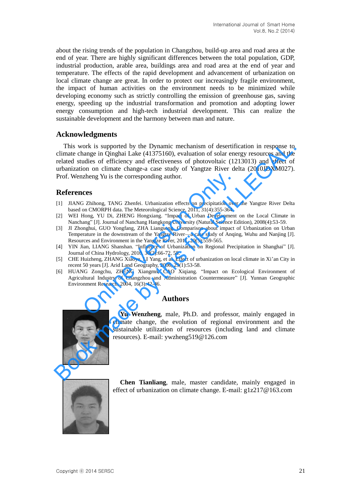about the rising trends of the population in Changzhou, build-up area and road area at the end of year. There are highly significant differences between the total population, GDP, industrial production, arable area, buildings area and road area at the end of year and temperature. The effects of the rapid development and advancement of urbanization on local climate change are great. In order to protect our increasingly fragile environment, the impact of human activities on the environment needs to be minimized while developing economy such as strictly controlling the emission of greenhouse gas, saving energy, speeding up the industrial transformation and promotion and adopting lower energy consumption and high-tech industrial development. This can realize the sustainable development and the harmony between man and nature.

## **Acknowledgments**

This work is supported by the Dynamic mechanism of desertification in response to climate change in Qinghai Lake (41375160), evaluation of solar energy resources and the related studies of efficiency and effectiveness of photovoltaic (1213013) and effect of urbanization on climate change-a case study of Yangtze River delta (2010JDXM027). Prof. Wenzheng Yu is the corresponding author. This work is supported by the Dynamic mechanism of desertification in response to climate change in Queglia Lake (41375160), evaluation of solar energy resources and the turbarization of solar energy to urbanization of the

## **References**

- [1] JIANG Zhihong, TANG Zhenfei. Urbanization effects on precipitation over the Yangtze River Delta based on CMORPH data. The Meteorological Science, 2011, 31(4):355-364.
- [2] WEI Hong, YU Di, ZHENG Hongxiang. "Impact of Urban Development on the Local Climate in Nanchang" [J]. Journal of Nanchang Hangkong University (Natural Science Edition), 2008(4):53-59.
- [3] JI Zhonghui, GUO Yongfang, ZHA Liangsong. Comparison about impact of Urbanization on Urban Temperature in the downstream of the Yangtze River—a case study of Anqing, Wuhu and Nanjing [J]. Resources and Environment in the Yangtze River, 2011, 20(5):559-565.
- [4] YIN Jian, LIANG Shanshan. "Influence of Urbanization on Regional Precipitation in Shanghai" [J]. Journal of China Hydrology, 2010, 30(2):66-72, 58.
- [5] CHE Huizheng, ZHANG Xiaoye, LI Yang, et al. Effect of urbanization on local climate in Xi'an City in recent 50 years [J]. Arid Land Geography, 2006, 29(1):53-58.
- [6] HUANG Zongchu, ZHENG Xiangmn, CAO Xiqiang. "Impact on Ecological Environment of Agricultural Industry of Changzhou and Administration Countermeasure" [J]. Yunnan Geographic Environment Research, 2004, 16(3):42-46. Theng Yu is the corresponding author.<br>
Cess<br>
3 Zhihong, TANG Zhenfei. Urbanization effects on precipitation over<br>
2 Dinomy, TANG Zhenfei. Urbanization effects on precipitation over<br>
2 Only Chine Chine Methodong, YU Di, ZHE

### **Authors**



**Yu Wenzheng**, male, Ph.D. and professor, mainly engaged in climate change, the evolution of regional environment and the sustainable utilization of resources (including land and climate resources). E-mail: ywzheng519@126.com



**Chen Tianliang**, male, master candidate, mainly engaged in effect of urbanization on climate change. E-mail: g1z217@163.com